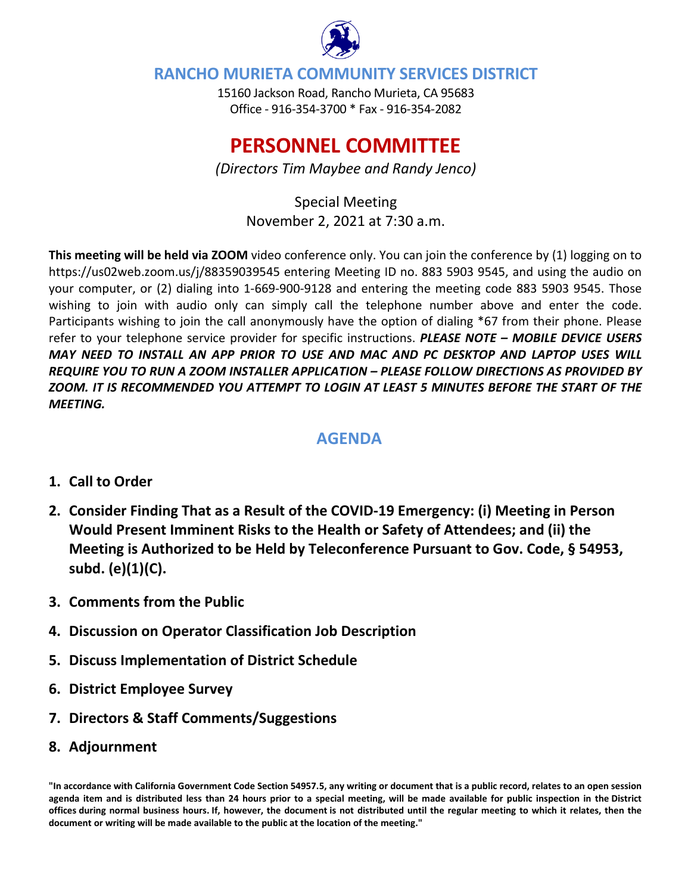

## **RANCHO MURIETA COMMUNITY SERVICES DISTRICT**

15160 Jackson Road, Rancho Murieta, CA 95683 Office - 916-354-3700 \* Fax - 916-354-2082

# **PERSONNEL COMMITTEE**

*(Directors Tim Maybee and Randy Jenco)*

Special Meeting November 2, 2021 at 7:30 a.m.

**This meeting will be held via ZOOM** video conference only. You can join the conference by (1) logging on to https://us02web.zoom.us/j/88359039545 entering Meeting ID no. 883 5903 9545, and using the audio on your computer, or (2) dialing into 1-669-900-9128 and entering the meeting code 883 5903 9545. Those wishing to join with audio only can simply call the telephone number above and enter the code. Participants wishing to join the call anonymously have the option of dialing \*67 from their phone. Please refer to your telephone service provider for specific instructions. *PLEASE NOTE – MOBILE DEVICE USERS MAY NEED TO INSTALL AN APP PRIOR TO USE AND MAC AND PC DESKTOP AND LAPTOP USES WILL REQUIRE YOU TO RUN A ZOOM INSTALLER APPLICATION – PLEASE FOLLOW DIRECTIONS AS PROVIDED BY ZOOM. IT IS RECOMMENDED YOU ATTEMPT TO LOGIN AT LEAST 5 MINUTES BEFORE THE START OF THE MEETING.*

# **AGENDA**

### **1. Call to Order**

- **2. Consider Finding That as a Result of the COVID-19 Emergency: (i) Meeting in Person Would Present Imminent Risks to the Health or Safety of Attendees; and (ii) the Meeting is Authorized to be Held by Teleconference Pursuant to Gov. Code, § 54953, subd. (e)(1)(C).**
- **3. Comments from the Public**
- **4. Discussion on Operator Classification Job Description**
- **5. Discuss Implementation of District Schedule**
- **6. District Employee Survey**
- **7. Directors & Staff Comments/Suggestions**
- **8. Adjournment**

**"In accordance with California Government Code Section 54957.5, any writing or document that is a public record, relates to an open session agenda item and is distributed less than 24 hours prior to a special meeting, will be made available for public inspection in the District offices during normal business hours. If, however, the document is not distributed until the regular meeting to which it relates, then the document or writing will be made available to the public at the location of the meeting."**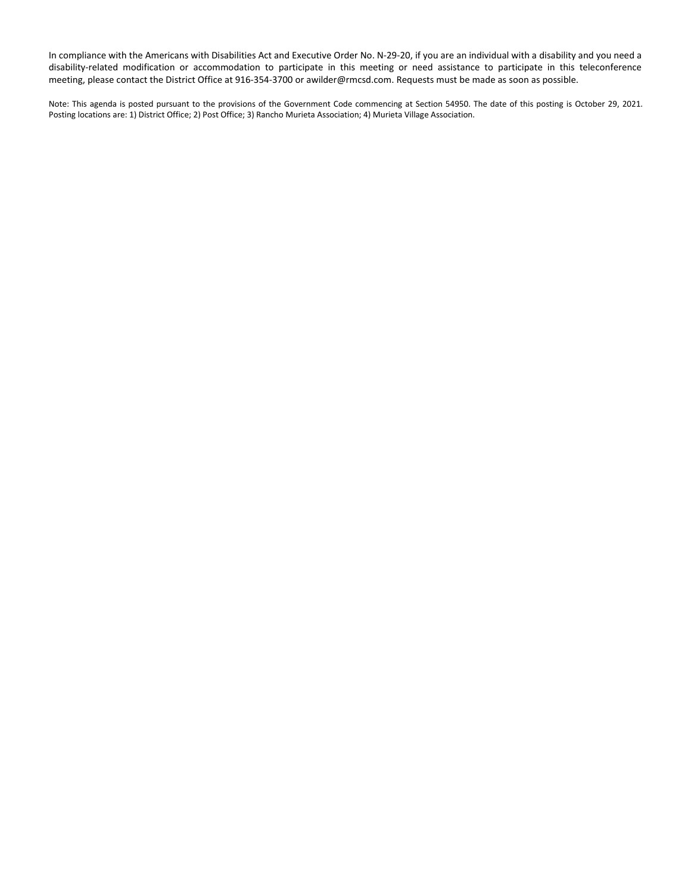In compliance with the Americans with Disabilities Act and Executive Order No. N-29-20, if you are an individual with a disability and you need a disability-related modification or accommodation to participate in this meeting or need assistance to participate in this teleconference meeting, please contact the District Office at 916-354-3700 or awilder@rmcsd.com. Requests must be made as soon as possible.

Note: This agenda is posted pursuant to the provisions of the Government Code commencing at Section 54950. The date of this posting is October 29, 2021. Posting locations are: 1) District Office; 2) Post Office; 3) Rancho Murieta Association; 4) Murieta Village Association.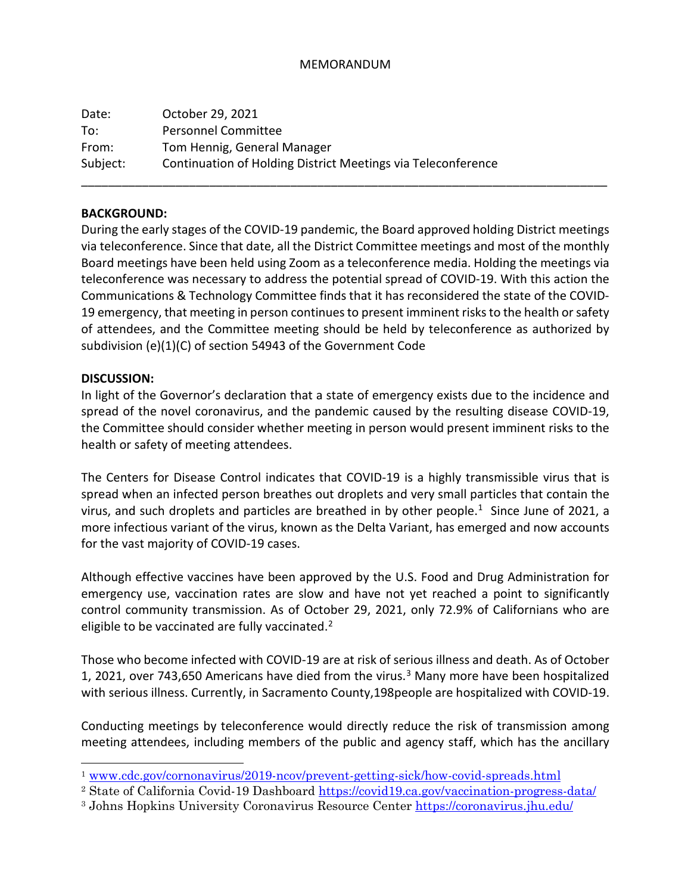#### MEMORANDUM

| Date:    | October 29, 2021                                             |
|----------|--------------------------------------------------------------|
| To:      | Personnel Committee                                          |
| From:    | Tom Hennig, General Manager                                  |
| Subject: | Continuation of Holding District Meetings via Teleconference |

#### **BACKGROUND:**

During the early stages of the COVID-19 pandemic, the Board approved holding District meetings via teleconference. Since that date, all the District Committee meetings and most of the monthly Board meetings have been held using Zoom as a teleconference media. Holding the meetings via teleconference was necessary to address the potential spread of COVID-19. With this action the Communications & Technology Committee finds that it has reconsidered the state of the COVID-19 emergency, that meeting in person continues to present imminent risks to the health or safety of attendees, and the Committee meeting should be held by teleconference as authorized by subdivision (e)(1)(C) of section 54943 of the Government Code

\_\_\_\_\_\_\_\_\_\_\_\_\_\_\_\_\_\_\_\_\_\_\_\_\_\_\_\_\_\_\_\_\_\_\_\_\_\_\_\_\_\_\_\_\_\_\_\_\_\_\_\_\_\_\_\_\_\_\_\_\_\_\_\_\_\_\_\_\_\_\_\_\_\_\_\_\_\_

#### **DISCUSSION:**

In light of the Governor's declaration that a state of emergency exists due to the incidence and spread of the novel coronavirus, and the pandemic caused by the resulting disease COVID-19, the Committee should consider whether meeting in person would present imminent risks to the health or safety of meeting attendees.

The Centers for Disease Control indicates that COVID-19 is a highly transmissible virus that is spread when an infected person breathes out droplets and very small particles that contain the virus, and such droplets and particles are breathed in by other people.<sup>1</sup> Since June of 2021, a more infectious variant of the virus, known as the Delta Variant, has emerged and now accounts for the vast majority of COVID-19 cases.

Although effective vaccines have been approved by the U.S. Food and Drug Administration for emergency use, vaccination rates are slow and have not yet reached a point to significantly control community transmission. As of October 29, 2021, only 72.9% of Californians who are eligible to be vaccinated are fully vaccinated.<sup>[2](#page-2-1)</sup>

Those who become infected with COVID-19 are at risk of serious illness and death. As of October 1, 2021, over 74[3](#page-2-2),650 Americans have died from the virus.<sup>3</sup> Many more have been hospitalized with serious illness. Currently, in Sacramento County,198people are hospitalized with COVID-19.

Conducting meetings by teleconference would directly reduce the risk of transmission among meeting attendees, including members of the public and agency staff, which has the ancillary

<span id="page-2-0"></span><sup>1</sup> [www.cdc.gov/cornonavirus/2019-ncov/prevent-getting-sick/how-covid-spreads.html](http://www.cdc.gov/cornonavirus/2019-ncov/prevent-getting-sick/how-covid-spreads.html)

<span id="page-2-1"></span><sup>2</sup> State of California Covid-19 Dashboard<https://covid19.ca.gov/vaccination-progress-data/>

<span id="page-2-2"></span><sup>&</sup>lt;sup>3</sup> Johns Hopkins University Coronavirus Resource Center<https://coronavirus.jhu.edu/>